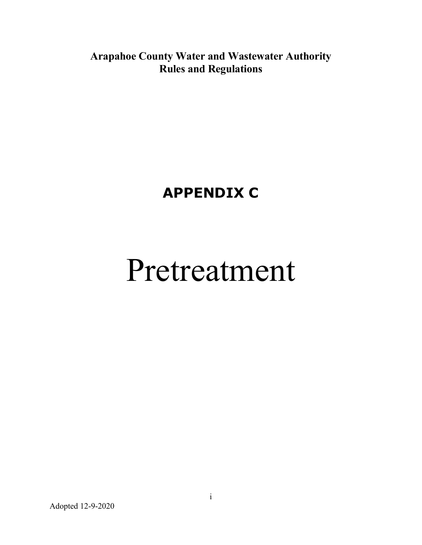Arapahoe County Water and Wastewater Authority Rules and Regulations

# APPENDIX C

# Pretreatment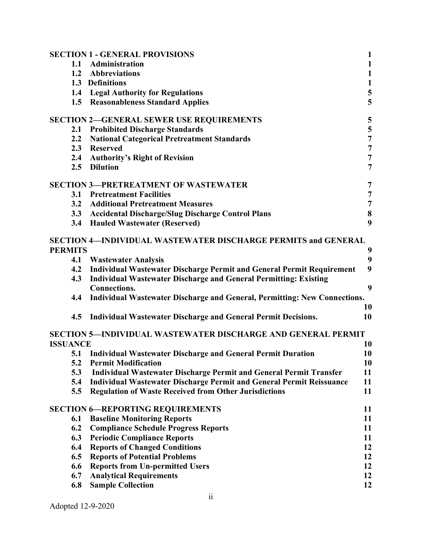| $\mathbf{1}$<br>1.1 Administration<br>$\mathbf{1}$<br>1.2<br>Abbreviations<br>$\mathbf{1}$<br>1.3 Definitions<br>5<br>1.4 Legal Authority for Regulations<br>5<br>1.5 Reasonableness Standard Applies<br>5<br><b>SECTION 2-GENERAL SEWER USE REQUIREMENTS</b><br>5<br><b>Prohibited Discharge Standards</b><br>2.1<br>$\overline{7}$<br><b>National Categorical Pretreatment Standards</b><br>2.2<br>$\overline{7}$<br>2.3<br><b>Reserved</b><br>$\overline{7}$<br>2.4 Authority's Right of Revision<br>2.5 Dilution<br>$\overline{7}$<br><b>SECTION 3-PRETREATMENT OF WASTEWATER</b><br>7<br>7<br><b>Pretreatment Facilities</b><br>3.1<br>$\overline{7}$<br><b>Additional Pretreatment Measures</b><br>3.2<br>$\bf{8}$<br>3.3 Accidental Discharge/Slug Discharge Control Plans<br>9<br>3.4 Hauled Wastewater (Reserved)<br><b>SECTION 4-INDIVIDUAL WASTEWATER DISCHARGE PERMITS and GENERAL</b><br><b>PERMITS</b><br>9<br>9<br>4.1<br><b>Wastewater Analysis</b><br>9<br>Individual Wastewater Discharge Permit and General Permit Requirement<br>4.2<br>Individual Wastewater Discharge and General Permitting: Existing<br>4.3<br>9<br><b>Connections.</b><br>4.4<br>Individual Wastewater Discharge and General, Permitting: New Connections.<br>10<br>4.5<br><b>Individual Wastewater Discharge and General Permit Decisions.</b><br>10<br><b>SECTION 5-INDIVIDUAL WASTEWATER DISCHARGE AND GENERAL PERMIT</b><br><b>ISSUANCE</b><br>10<br>5.1<br><b>Individual Wastewater Discharge and General Permit Duration</b><br>10<br>5.2<br><b>Permit Modification</b><br>10<br>5.3<br><b>Individual Wastewater Discharge Permit and General Permit Transfer</b><br>11<br>11<br>5.4<br><b>Individual Wastewater Discharge Permit and General Permit Reissuance</b><br><b>Regulation of Waste Received from Other Jurisdictions</b><br>11<br>5.5<br><b>SECTION 6-REPORTING REQUIREMENTS</b><br>11<br><b>Baseline Monitoring Reports</b><br>11<br>6.1<br><b>Compliance Schedule Progress Reports</b><br>6.2<br>11<br><b>Periodic Compliance Reports</b><br>11<br>6.3<br><b>Reports of Changed Conditions</b><br>12<br>6.4<br>6.5<br><b>Reports of Potential Problems</b><br>12<br><b>Reports from Un-permitted Users</b><br>12<br>6.6<br><b>Analytical Requirements</b><br>12<br>6.7<br>6.8<br><b>Sample Collection</b><br>12 | <b>SECTION 1 - GENERAL PROVISIONS</b> | $\mathbf{1}$ |
|-----------------------------------------------------------------------------------------------------------------------------------------------------------------------------------------------------------------------------------------------------------------------------------------------------------------------------------------------------------------------------------------------------------------------------------------------------------------------------------------------------------------------------------------------------------------------------------------------------------------------------------------------------------------------------------------------------------------------------------------------------------------------------------------------------------------------------------------------------------------------------------------------------------------------------------------------------------------------------------------------------------------------------------------------------------------------------------------------------------------------------------------------------------------------------------------------------------------------------------------------------------------------------------------------------------------------------------------------------------------------------------------------------------------------------------------------------------------------------------------------------------------------------------------------------------------------------------------------------------------------------------------------------------------------------------------------------------------------------------------------------------------------------------------------------------------------------------------------------------------------------------------------------------------------------------------------------------------------------------------------------------------------------------------------------------------------------------------------------------------------------------------------------------------------------------------------------------------------------------------------------------------------------------------------------------------------------|---------------------------------------|--------------|
|                                                                                                                                                                                                                                                                                                                                                                                                                                                                                                                                                                                                                                                                                                                                                                                                                                                                                                                                                                                                                                                                                                                                                                                                                                                                                                                                                                                                                                                                                                                                                                                                                                                                                                                                                                                                                                                                                                                                                                                                                                                                                                                                                                                                                                                                                                                             |                                       |              |
|                                                                                                                                                                                                                                                                                                                                                                                                                                                                                                                                                                                                                                                                                                                                                                                                                                                                                                                                                                                                                                                                                                                                                                                                                                                                                                                                                                                                                                                                                                                                                                                                                                                                                                                                                                                                                                                                                                                                                                                                                                                                                                                                                                                                                                                                                                                             |                                       |              |
|                                                                                                                                                                                                                                                                                                                                                                                                                                                                                                                                                                                                                                                                                                                                                                                                                                                                                                                                                                                                                                                                                                                                                                                                                                                                                                                                                                                                                                                                                                                                                                                                                                                                                                                                                                                                                                                                                                                                                                                                                                                                                                                                                                                                                                                                                                                             |                                       |              |
|                                                                                                                                                                                                                                                                                                                                                                                                                                                                                                                                                                                                                                                                                                                                                                                                                                                                                                                                                                                                                                                                                                                                                                                                                                                                                                                                                                                                                                                                                                                                                                                                                                                                                                                                                                                                                                                                                                                                                                                                                                                                                                                                                                                                                                                                                                                             |                                       |              |
|                                                                                                                                                                                                                                                                                                                                                                                                                                                                                                                                                                                                                                                                                                                                                                                                                                                                                                                                                                                                                                                                                                                                                                                                                                                                                                                                                                                                                                                                                                                                                                                                                                                                                                                                                                                                                                                                                                                                                                                                                                                                                                                                                                                                                                                                                                                             |                                       |              |
|                                                                                                                                                                                                                                                                                                                                                                                                                                                                                                                                                                                                                                                                                                                                                                                                                                                                                                                                                                                                                                                                                                                                                                                                                                                                                                                                                                                                                                                                                                                                                                                                                                                                                                                                                                                                                                                                                                                                                                                                                                                                                                                                                                                                                                                                                                                             |                                       |              |
|                                                                                                                                                                                                                                                                                                                                                                                                                                                                                                                                                                                                                                                                                                                                                                                                                                                                                                                                                                                                                                                                                                                                                                                                                                                                                                                                                                                                                                                                                                                                                                                                                                                                                                                                                                                                                                                                                                                                                                                                                                                                                                                                                                                                                                                                                                                             |                                       |              |
|                                                                                                                                                                                                                                                                                                                                                                                                                                                                                                                                                                                                                                                                                                                                                                                                                                                                                                                                                                                                                                                                                                                                                                                                                                                                                                                                                                                                                                                                                                                                                                                                                                                                                                                                                                                                                                                                                                                                                                                                                                                                                                                                                                                                                                                                                                                             |                                       |              |
|                                                                                                                                                                                                                                                                                                                                                                                                                                                                                                                                                                                                                                                                                                                                                                                                                                                                                                                                                                                                                                                                                                                                                                                                                                                                                                                                                                                                                                                                                                                                                                                                                                                                                                                                                                                                                                                                                                                                                                                                                                                                                                                                                                                                                                                                                                                             |                                       |              |
|                                                                                                                                                                                                                                                                                                                                                                                                                                                                                                                                                                                                                                                                                                                                                                                                                                                                                                                                                                                                                                                                                                                                                                                                                                                                                                                                                                                                                                                                                                                                                                                                                                                                                                                                                                                                                                                                                                                                                                                                                                                                                                                                                                                                                                                                                                                             |                                       |              |
|                                                                                                                                                                                                                                                                                                                                                                                                                                                                                                                                                                                                                                                                                                                                                                                                                                                                                                                                                                                                                                                                                                                                                                                                                                                                                                                                                                                                                                                                                                                                                                                                                                                                                                                                                                                                                                                                                                                                                                                                                                                                                                                                                                                                                                                                                                                             |                                       |              |
|                                                                                                                                                                                                                                                                                                                                                                                                                                                                                                                                                                                                                                                                                                                                                                                                                                                                                                                                                                                                                                                                                                                                                                                                                                                                                                                                                                                                                                                                                                                                                                                                                                                                                                                                                                                                                                                                                                                                                                                                                                                                                                                                                                                                                                                                                                                             |                                       |              |
|                                                                                                                                                                                                                                                                                                                                                                                                                                                                                                                                                                                                                                                                                                                                                                                                                                                                                                                                                                                                                                                                                                                                                                                                                                                                                                                                                                                                                                                                                                                                                                                                                                                                                                                                                                                                                                                                                                                                                                                                                                                                                                                                                                                                                                                                                                                             |                                       |              |
|                                                                                                                                                                                                                                                                                                                                                                                                                                                                                                                                                                                                                                                                                                                                                                                                                                                                                                                                                                                                                                                                                                                                                                                                                                                                                                                                                                                                                                                                                                                                                                                                                                                                                                                                                                                                                                                                                                                                                                                                                                                                                                                                                                                                                                                                                                                             |                                       |              |
|                                                                                                                                                                                                                                                                                                                                                                                                                                                                                                                                                                                                                                                                                                                                                                                                                                                                                                                                                                                                                                                                                                                                                                                                                                                                                                                                                                                                                                                                                                                                                                                                                                                                                                                                                                                                                                                                                                                                                                                                                                                                                                                                                                                                                                                                                                                             |                                       |              |
|                                                                                                                                                                                                                                                                                                                                                                                                                                                                                                                                                                                                                                                                                                                                                                                                                                                                                                                                                                                                                                                                                                                                                                                                                                                                                                                                                                                                                                                                                                                                                                                                                                                                                                                                                                                                                                                                                                                                                                                                                                                                                                                                                                                                                                                                                                                             |                                       |              |
|                                                                                                                                                                                                                                                                                                                                                                                                                                                                                                                                                                                                                                                                                                                                                                                                                                                                                                                                                                                                                                                                                                                                                                                                                                                                                                                                                                                                                                                                                                                                                                                                                                                                                                                                                                                                                                                                                                                                                                                                                                                                                                                                                                                                                                                                                                                             |                                       |              |
|                                                                                                                                                                                                                                                                                                                                                                                                                                                                                                                                                                                                                                                                                                                                                                                                                                                                                                                                                                                                                                                                                                                                                                                                                                                                                                                                                                                                                                                                                                                                                                                                                                                                                                                                                                                                                                                                                                                                                                                                                                                                                                                                                                                                                                                                                                                             |                                       |              |
|                                                                                                                                                                                                                                                                                                                                                                                                                                                                                                                                                                                                                                                                                                                                                                                                                                                                                                                                                                                                                                                                                                                                                                                                                                                                                                                                                                                                                                                                                                                                                                                                                                                                                                                                                                                                                                                                                                                                                                                                                                                                                                                                                                                                                                                                                                                             |                                       |              |
|                                                                                                                                                                                                                                                                                                                                                                                                                                                                                                                                                                                                                                                                                                                                                                                                                                                                                                                                                                                                                                                                                                                                                                                                                                                                                                                                                                                                                                                                                                                                                                                                                                                                                                                                                                                                                                                                                                                                                                                                                                                                                                                                                                                                                                                                                                                             |                                       |              |
|                                                                                                                                                                                                                                                                                                                                                                                                                                                                                                                                                                                                                                                                                                                                                                                                                                                                                                                                                                                                                                                                                                                                                                                                                                                                                                                                                                                                                                                                                                                                                                                                                                                                                                                                                                                                                                                                                                                                                                                                                                                                                                                                                                                                                                                                                                                             |                                       |              |
|                                                                                                                                                                                                                                                                                                                                                                                                                                                                                                                                                                                                                                                                                                                                                                                                                                                                                                                                                                                                                                                                                                                                                                                                                                                                                                                                                                                                                                                                                                                                                                                                                                                                                                                                                                                                                                                                                                                                                                                                                                                                                                                                                                                                                                                                                                                             |                                       |              |
|                                                                                                                                                                                                                                                                                                                                                                                                                                                                                                                                                                                                                                                                                                                                                                                                                                                                                                                                                                                                                                                                                                                                                                                                                                                                                                                                                                                                                                                                                                                                                                                                                                                                                                                                                                                                                                                                                                                                                                                                                                                                                                                                                                                                                                                                                                                             |                                       |              |
|                                                                                                                                                                                                                                                                                                                                                                                                                                                                                                                                                                                                                                                                                                                                                                                                                                                                                                                                                                                                                                                                                                                                                                                                                                                                                                                                                                                                                                                                                                                                                                                                                                                                                                                                                                                                                                                                                                                                                                                                                                                                                                                                                                                                                                                                                                                             |                                       |              |
|                                                                                                                                                                                                                                                                                                                                                                                                                                                                                                                                                                                                                                                                                                                                                                                                                                                                                                                                                                                                                                                                                                                                                                                                                                                                                                                                                                                                                                                                                                                                                                                                                                                                                                                                                                                                                                                                                                                                                                                                                                                                                                                                                                                                                                                                                                                             |                                       |              |
|                                                                                                                                                                                                                                                                                                                                                                                                                                                                                                                                                                                                                                                                                                                                                                                                                                                                                                                                                                                                                                                                                                                                                                                                                                                                                                                                                                                                                                                                                                                                                                                                                                                                                                                                                                                                                                                                                                                                                                                                                                                                                                                                                                                                                                                                                                                             |                                       |              |
|                                                                                                                                                                                                                                                                                                                                                                                                                                                                                                                                                                                                                                                                                                                                                                                                                                                                                                                                                                                                                                                                                                                                                                                                                                                                                                                                                                                                                                                                                                                                                                                                                                                                                                                                                                                                                                                                                                                                                                                                                                                                                                                                                                                                                                                                                                                             |                                       |              |
|                                                                                                                                                                                                                                                                                                                                                                                                                                                                                                                                                                                                                                                                                                                                                                                                                                                                                                                                                                                                                                                                                                                                                                                                                                                                                                                                                                                                                                                                                                                                                                                                                                                                                                                                                                                                                                                                                                                                                                                                                                                                                                                                                                                                                                                                                                                             |                                       |              |
|                                                                                                                                                                                                                                                                                                                                                                                                                                                                                                                                                                                                                                                                                                                                                                                                                                                                                                                                                                                                                                                                                                                                                                                                                                                                                                                                                                                                                                                                                                                                                                                                                                                                                                                                                                                                                                                                                                                                                                                                                                                                                                                                                                                                                                                                                                                             |                                       |              |
|                                                                                                                                                                                                                                                                                                                                                                                                                                                                                                                                                                                                                                                                                                                                                                                                                                                                                                                                                                                                                                                                                                                                                                                                                                                                                                                                                                                                                                                                                                                                                                                                                                                                                                                                                                                                                                                                                                                                                                                                                                                                                                                                                                                                                                                                                                                             |                                       |              |
|                                                                                                                                                                                                                                                                                                                                                                                                                                                                                                                                                                                                                                                                                                                                                                                                                                                                                                                                                                                                                                                                                                                                                                                                                                                                                                                                                                                                                                                                                                                                                                                                                                                                                                                                                                                                                                                                                                                                                                                                                                                                                                                                                                                                                                                                                                                             |                                       |              |
|                                                                                                                                                                                                                                                                                                                                                                                                                                                                                                                                                                                                                                                                                                                                                                                                                                                                                                                                                                                                                                                                                                                                                                                                                                                                                                                                                                                                                                                                                                                                                                                                                                                                                                                                                                                                                                                                                                                                                                                                                                                                                                                                                                                                                                                                                                                             |                                       |              |
|                                                                                                                                                                                                                                                                                                                                                                                                                                                                                                                                                                                                                                                                                                                                                                                                                                                                                                                                                                                                                                                                                                                                                                                                                                                                                                                                                                                                                                                                                                                                                                                                                                                                                                                                                                                                                                                                                                                                                                                                                                                                                                                                                                                                                                                                                                                             |                                       |              |
|                                                                                                                                                                                                                                                                                                                                                                                                                                                                                                                                                                                                                                                                                                                                                                                                                                                                                                                                                                                                                                                                                                                                                                                                                                                                                                                                                                                                                                                                                                                                                                                                                                                                                                                                                                                                                                                                                                                                                                                                                                                                                                                                                                                                                                                                                                                             |                                       |              |
|                                                                                                                                                                                                                                                                                                                                                                                                                                                                                                                                                                                                                                                                                                                                                                                                                                                                                                                                                                                                                                                                                                                                                                                                                                                                                                                                                                                                                                                                                                                                                                                                                                                                                                                                                                                                                                                                                                                                                                                                                                                                                                                                                                                                                                                                                                                             |                                       |              |
|                                                                                                                                                                                                                                                                                                                                                                                                                                                                                                                                                                                                                                                                                                                                                                                                                                                                                                                                                                                                                                                                                                                                                                                                                                                                                                                                                                                                                                                                                                                                                                                                                                                                                                                                                                                                                                                                                                                                                                                                                                                                                                                                                                                                                                                                                                                             |                                       |              |
|                                                                                                                                                                                                                                                                                                                                                                                                                                                                                                                                                                                                                                                                                                                                                                                                                                                                                                                                                                                                                                                                                                                                                                                                                                                                                                                                                                                                                                                                                                                                                                                                                                                                                                                                                                                                                                                                                                                                                                                                                                                                                                                                                                                                                                                                                                                             |                                       |              |
|                                                                                                                                                                                                                                                                                                                                                                                                                                                                                                                                                                                                                                                                                                                                                                                                                                                                                                                                                                                                                                                                                                                                                                                                                                                                                                                                                                                                                                                                                                                                                                                                                                                                                                                                                                                                                                                                                                                                                                                                                                                                                                                                                                                                                                                                                                                             |                                       |              |
|                                                                                                                                                                                                                                                                                                                                                                                                                                                                                                                                                                                                                                                                                                                                                                                                                                                                                                                                                                                                                                                                                                                                                                                                                                                                                                                                                                                                                                                                                                                                                                                                                                                                                                                                                                                                                                                                                                                                                                                                                                                                                                                                                                                                                                                                                                                             |                                       |              |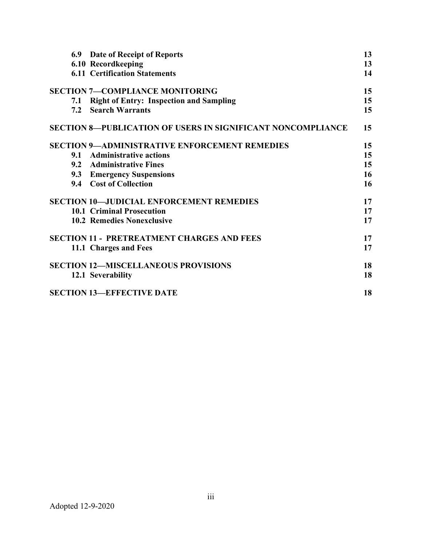| 6.9 Date of Receipt of Reports                                     | 13 |
|--------------------------------------------------------------------|----|
| 6.10 Recordkeeping                                                 | 13 |
| <b>6.11 Certification Statements</b>                               | 14 |
| <b>SECTION 7-COMPLIANCE MONITORING</b>                             | 15 |
| <b>Right of Entry: Inspection and Sampling</b><br>7.1              | 15 |
| <b>Search Warrants</b><br>7.2                                      | 15 |
| <b>SECTION 8-PUBLICATION OF USERS IN SIGNIFICANT NONCOMPLIANCE</b> | 15 |
| <b>SECTION 9-ADMINISTRATIVE ENFORCEMENT REMEDIES</b>               | 15 |
| <b>Administrative actions</b><br>9.1                               | 15 |
| 9.2 Administrative Fines                                           | 15 |
| 9.3 Emergency Suspensions                                          | 16 |
| 9.4 Cost of Collection                                             | 16 |
| <b>SECTION 10-JUDICIAL ENFORCEMENT REMEDIES</b>                    | 17 |
| <b>10.1 Criminal Prosecution</b>                                   | 17 |
| <b>10.2 Remedies Nonexclusive</b>                                  | 17 |
| <b>SECTION 11 - PRETREATMENT CHARGES AND FEES</b>                  | 17 |
| 11.1 Charges and Fees                                              | 17 |
| <b>SECTION 12-MISCELLANEOUS PROVISIONS</b>                         | 18 |
| 12.1 Severability                                                  | 18 |
| <b>SECTION 13-EFFECTIVE DATE</b>                                   | 18 |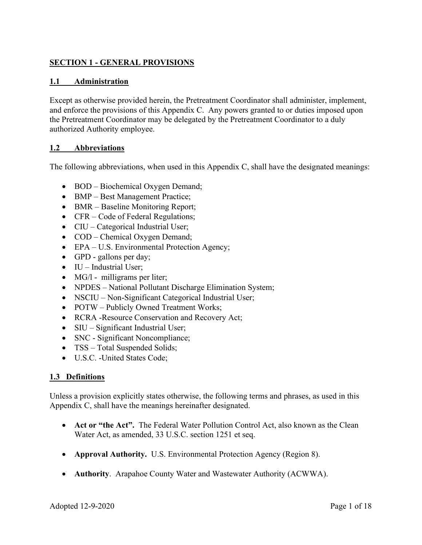# SECTION 1 - GENERAL PROVISIONS

# 1.1 Administration

Except as otherwise provided herein, the Pretreatment Coordinator shall administer, implement, and enforce the provisions of this Appendix C. Any powers granted to or duties imposed upon the Pretreatment Coordinator may be delegated by the Pretreatment Coordinator to a duly authorized Authority employee.

#### 1.2 Abbreviations

The following abbreviations, when used in this Appendix C, shall have the designated meanings:

- BOD Biochemical Oxygen Demand;
- BMP Best Management Practice;
- BMR Baseline Monitoring Report;
- CFR Code of Federal Regulations;
- CIU Categorical Industrial User;
- COD Chemical Oxygen Demand;
- EPA U.S. Environmental Protection Agency;
- GPD gallons per day;
- $\bullet$  IU Industrial User;
- $\bullet$  MG/l milligrams per liter;
- NPDES National Pollutant Discharge Elimination System;
- NSCIU Non-Significant Categorical Industrial User;
- POTW Publicly Owned Treatment Works;
- RCRA -Resource Conservation and Recovery Act;
- SIU Significant Industrial User;
- SNC Significant Noncompliance;
- TSS Total Suspended Solids;
- U.S.C. -United States Code;

#### 1.3 Definitions

Unless a provision explicitly states otherwise, the following terms and phrases, as used in this Appendix C, shall have the meanings hereinafter designated.

- Act or "the Act". The Federal Water Pollution Control Act, also known as the Clean Water Act, as amended, 33 U.S.C. section 1251 et seq.
- Approval Authority. U.S. Environmental Protection Agency (Region 8).
- Authority. Arapahoe County Water and Wastewater Authority (ACWWA).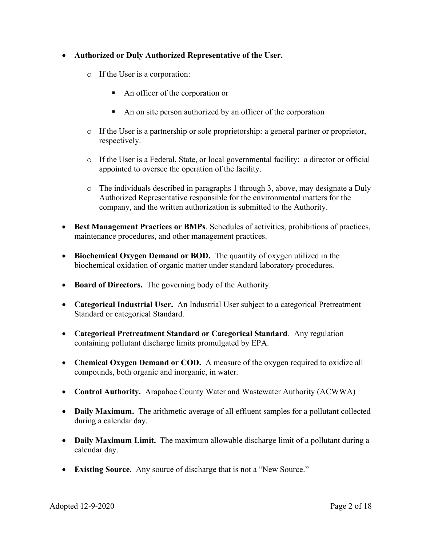# Authorized or Duly Authorized Representative of the User.

- o If the User is a corporation:
	- An officer of the corporation or
	- An on site person authorized by an officer of the corporation
- o If the User is a partnership or sole proprietorship: a general partner or proprietor, respectively.
- o If the User is a Federal, State, or local governmental facility: a director or official appointed to oversee the operation of the facility.
- o The individuals described in paragraphs 1 through 3, above, may designate a Duly Authorized Representative responsible for the environmental matters for the company, and the written authorization is submitted to the Authority.
- Best Management Practices or BMPs. Schedules of activities, prohibitions of practices, maintenance procedures, and other management practices.
- Biochemical Oxygen Demand or BOD. The quantity of oxygen utilized in the biochemical oxidation of organic matter under standard laboratory procedures.
- Board of Directors. The governing body of the Authority.
- Categorical Industrial User. An Industrial User subject to a categorical Pretreatment Standard or categorical Standard.
- Categorical Pretreatment Standard or Categorical Standard. Any regulation containing pollutant discharge limits promulgated by EPA.
- Chemical Oxygen Demand or COD. A measure of the oxygen required to oxidize all compounds, both organic and inorganic, in water.
- Control Authority. Arapahoe County Water and Wastewater Authority (ACWWA)
- Daily Maximum. The arithmetic average of all effluent samples for a pollutant collected during a calendar day.
- Daily Maximum Limit. The maximum allowable discharge limit of a pollutant during a calendar day.
- Existing Source. Any source of discharge that is not a "New Source."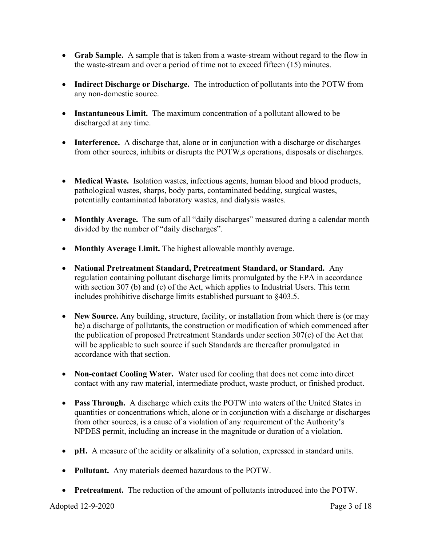- Grab Sample. A sample that is taken from a waste-stream without regard to the flow in the waste-stream and over a period of time not to exceed fifteen (15) minutes.
- Indirect Discharge or Discharge. The introduction of pollutants into the POTW from any non-domestic source.
- Instantaneous Limit. The maximum concentration of a pollutant allowed to be discharged at any time.
- Interference. A discharge that, alone or in conjunction with a discharge or discharges from other sources, inhibits or disrupts the POTW,s operations, disposals or discharges.
- Medical Waste. Isolation wastes, infectious agents, human blood and blood products, pathological wastes, sharps, body parts, contaminated bedding, surgical wastes, potentially contaminated laboratory wastes, and dialysis wastes.
- Monthly Average. The sum of all "daily discharges" measured during a calendar month divided by the number of "daily discharges".
- Monthly Average Limit. The highest allowable monthly average.
- National Pretreatment Standard, Pretreatment Standard, or Standard. Any regulation containing pollutant discharge limits promulgated by the EPA in accordance with section 307 (b) and (c) of the Act, which applies to Industrial Users. This term includes prohibitive discharge limits established pursuant to §403.5.
- New Source. Any building, structure, facility, or installation from which there is (or may be) a discharge of pollutants, the construction or modification of which commenced after the publication of proposed Pretreatment Standards under section 307(c) of the Act that will be applicable to such source if such Standards are thereafter promulgated in accordance with that section.
- Non-contact Cooling Water. Water used for cooling that does not come into direct contact with any raw material, intermediate product, waste product, or finished product.
- Pass Through. A discharge which exits the POTW into waters of the United States in quantities or concentrations which, alone or in conjunction with a discharge or discharges from other sources, is a cause of a violation of any requirement of the Authority's NPDES permit, including an increase in the magnitude or duration of a violation.
- pH. A measure of the acidity or alkalinity of a solution, expressed in standard units.
- Pollutant. Any materials deemed hazardous to the POTW.
- Pretreatment. The reduction of the amount of pollutants introduced into the POTW.

Adopted 12-9-2020 **Page 3 of 18**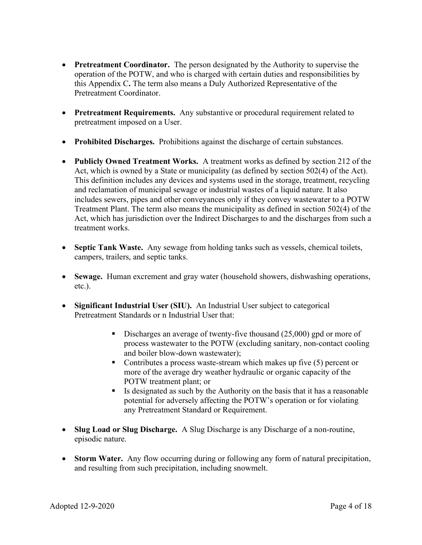- Pretreatment Coordinator. The person designated by the Authority to supervise the operation of the POTW, and who is charged with certain duties and responsibilities by this Appendix C. The term also means a Duly Authorized Representative of the Pretreatment Coordinator.
- Pretreatment Requirements. Any substantive or procedural requirement related to pretreatment imposed on a User.
- Prohibited Discharges. Prohibitions against the discharge of certain substances.
- Publicly Owned Treatment Works. A treatment works as defined by section 212 of the Act, which is owned by a State or municipality (as defined by section 502(4) of the Act). This definition includes any devices and systems used in the storage, treatment, recycling and reclamation of municipal sewage or industrial wastes of a liquid nature. It also includes sewers, pipes and other conveyances only if they convey wastewater to a POTW Treatment Plant. The term also means the municipality as defined in section 502(4) of the Act, which has jurisdiction over the Indirect Discharges to and the discharges from such a treatment works.
- Septic Tank Waste. Any sewage from holding tanks such as vessels, chemical toilets, campers, trailers, and septic tanks.
- Sewage. Human excrement and gray water (household showers, dishwashing operations, etc.).
- Significant Industrial User (SIU). An Industrial User subject to categorical Pretreatment Standards or n Industrial User that:
	- Discharges an average of twenty-five thousand (25,000) gpd or more of process wastewater to the POTW (excluding sanitary, non-contact cooling and boiler blow-down wastewater);
	- Contributes a process waste-stream which makes up five  $(5)$  percent or more of the average dry weather hydraulic or organic capacity of the POTW treatment plant; or
	- Is designated as such by the Authority on the basis that it has a reasonable potential for adversely affecting the POTW's operation or for violating any Pretreatment Standard or Requirement.
- Slug Load or Slug Discharge. A Slug Discharge is any Discharge of a non-routine, episodic nature.
- Storm Water. Any flow occurring during or following any form of natural precipitation, and resulting from such precipitation, including snowmelt.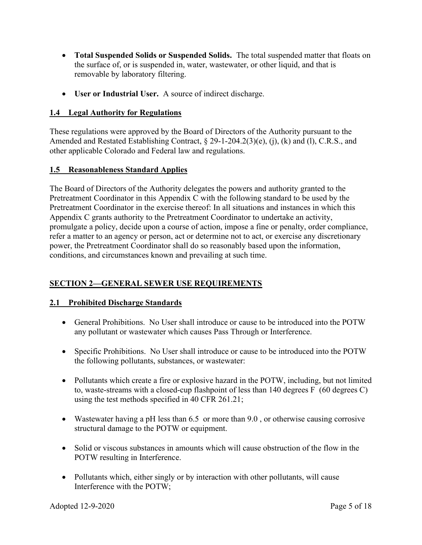- Total Suspended Solids or Suspended Solids. The total suspended matter that floats on the surface of, or is suspended in, water, wastewater, or other liquid, and that is removable by laboratory filtering.
- User or Industrial User. A source of indirect discharge.

# 1.4 Legal Authority for Regulations

These regulations were approved by the Board of Directors of the Authority pursuant to the Amended and Restated Establishing Contract, § 29-1-204.2(3)(e), (j), (k) and (l), C.R.S., and other applicable Colorado and Federal law and regulations.

# 1.5 Reasonableness Standard Applies

The Board of Directors of the Authority delegates the powers and authority granted to the Pretreatment Coordinator in this Appendix C with the following standard to be used by the Pretreatment Coordinator in the exercise thereof: In all situations and instances in which this Appendix C grants authority to the Pretreatment Coordinator to undertake an activity, promulgate a policy, decide upon a course of action, impose a fine or penalty, order compliance, refer a matter to an agency or person, act or determine not to act, or exercise any discretionary power, the Pretreatment Coordinator shall do so reasonably based upon the information, conditions, and circumstances known and prevailing at such time.

# SECTION 2—GENERAL SEWER USE REQUIREMENTS

# 2.1 Prohibited Discharge Standards

- General Prohibitions. No User shall introduce or cause to be introduced into the POTW any pollutant or wastewater which causes Pass Through or Interference.
- Specific Prohibitions. No User shall introduce or cause to be introduced into the POTW the following pollutants, substances, or wastewater:
- Pollutants which create a fire or explosive hazard in the POTW, including, but not limited to, waste-streams with a closed-cup flashpoint of less than 140 degrees F (60 degrees C) using the test methods specified in 40 CFR 261.21;
- Wastewater having a pH less than 6.5 or more than 9.0, or otherwise causing corrosive structural damage to the POTW or equipment.
- Solid or viscous substances in amounts which will cause obstruction of the flow in the POTW resulting in Interference.
- Pollutants which, either singly or by interaction with other pollutants, will cause Interference with the POTW;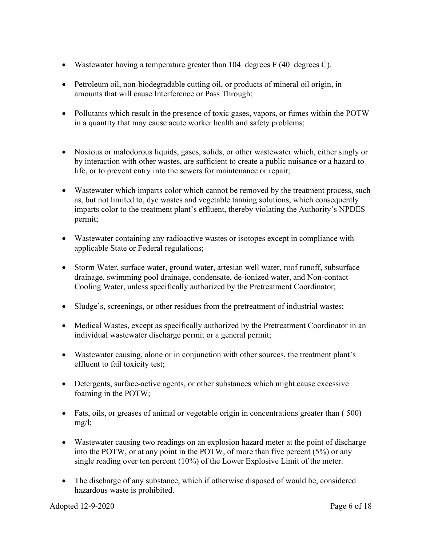- Wastewater having a temperature greater than 104 degrees F (40 degrees C).
- Petroleum oil, non-biodegradable cutting oil, or products of mineral oil origin, in amounts that will cause Interference or Pass Through;
- Pollutants which result in the presence of toxic gases, vapors, or fumes within the POTW in a quantity that may cause acute worker health and safety problems;
- Noxious or malodorous liquids, gases, solids, or other wastewater which, either singly or by interaction with other wastes, are sufficient to create a public nuisance or a hazard to life, or to prevent entry into the sewers for maintenance or repair;
- Wastewater which imparts color which cannot be removed by the treatment process, such as, but not limited to, dye wastes and vegetable tanning solutions, which consequently imparts color to the treatment plant's effluent, thereby violating the Authority's NPDES permit;
- Wastewater containing any radioactive wastes or isotopes except in compliance with applicable State or Federal regulations;
- Storm Water, surface water, ground water, artesian well water, roof runoff, subsurface drainage, swimming pool drainage, condensate, de-ionized water, and Non-contact Cooling Water, unless specifically authorized by the Pretreatment Coordinator;
- Sludge's, screenings, or other residues from the pretreatment of industrial wastes;
- Medical Wastes, except as specifically authorized by the Pretreatment Coordinator in an individual wastewater discharge permit or a general permit;
- Wastewater causing, alone or in conjunction with other sources, the treatment plant's effluent to fail toxicity test;
- Detergents, surface-active agents, or other substances which might cause excessive foaming in the POTW;
- Fats, oils, or greases of animal or vegetable origin in concentrations greater than ( 500)  $mg/l$ ;
- Wastewater causing two readings on an explosion hazard meter at the point of discharge into the POTW, or at any point in the POTW, of more than five percent (5%) or any single reading over ten percent (10%) of the Lower Explosive Limit of the meter.
- The discharge of any substance, which if otherwise disposed of would be, considered hazardous waste is prohibited.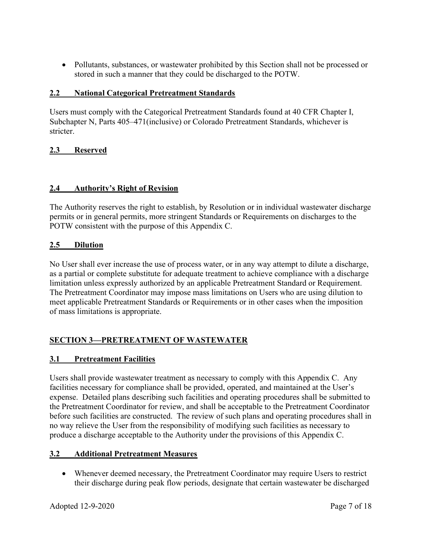• Pollutants, substances, or wastewater prohibited by this Section shall not be processed or stored in such a manner that they could be discharged to the POTW.

# 2.2 National Categorical Pretreatment Standards

Users must comply with the Categorical Pretreatment Standards found at 40 CFR Chapter I, Subchapter N, Parts 405–471(inclusive) or Colorado Pretreatment Standards, whichever is stricter.

# 2.3 Reserved

# 2.4 Authority's Right of Revision

The Authority reserves the right to establish, by Resolution or in individual wastewater discharge permits or in general permits, more stringent Standards or Requirements on discharges to the POTW consistent with the purpose of this Appendix C.

# 2.5 Dilution

No User shall ever increase the use of process water, or in any way attempt to dilute a discharge, as a partial or complete substitute for adequate treatment to achieve compliance with a discharge limitation unless expressly authorized by an applicable Pretreatment Standard or Requirement. The Pretreatment Coordinator may impose mass limitations on Users who are using dilution to meet applicable Pretreatment Standards or Requirements or in other cases when the imposition of mass limitations is appropriate.

# SECTION 3—PRETREATMENT OF WASTEWATER

# 3.1 Pretreatment Facilities

Users shall provide wastewater treatment as necessary to comply with this Appendix C. Any facilities necessary for compliance shall be provided, operated, and maintained at the User's expense. Detailed plans describing such facilities and operating procedures shall be submitted to the Pretreatment Coordinator for review, and shall be acceptable to the Pretreatment Coordinator before such facilities are constructed. The review of such plans and operating procedures shall in no way relieve the User from the responsibility of modifying such facilities as necessary to produce a discharge acceptable to the Authority under the provisions of this Appendix C.

# 3.2 Additional Pretreatment Measures

 Whenever deemed necessary, the Pretreatment Coordinator may require Users to restrict their discharge during peak flow periods, designate that certain wastewater be discharged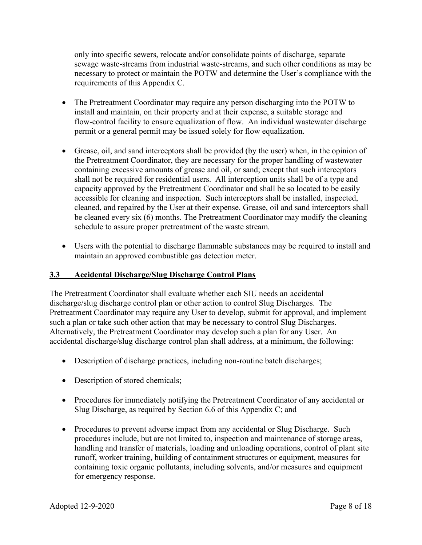only into specific sewers, relocate and/or consolidate points of discharge, separate sewage waste-streams from industrial waste-streams, and such other conditions as may be necessary to protect or maintain the POTW and determine the User's compliance with the requirements of this Appendix C.

- The Pretreatment Coordinator may require any person discharging into the POTW to install and maintain, on their property and at their expense, a suitable storage and flow-control facility to ensure equalization of flow. An individual wastewater discharge permit or a general permit may be issued solely for flow equalization.
- Grease, oil, and sand interceptors shall be provided (by the user) when, in the opinion of the Pretreatment Coordinator, they are necessary for the proper handling of wastewater containing excessive amounts of grease and oil, or sand; except that such interceptors shall not be required for residential users. All interception units shall be of a type and capacity approved by the Pretreatment Coordinator and shall be so located to be easily accessible for cleaning and inspection. Such interceptors shall be installed, inspected, cleaned, and repaired by the User at their expense. Grease, oil and sand interceptors shall be cleaned every six (6) months. The Pretreatment Coordinator may modify the cleaning schedule to assure proper pretreatment of the waste stream.
- Users with the potential to discharge flammable substances may be required to install and maintain an approved combustible gas detection meter.

# 3.3 Accidental Discharge/Slug Discharge Control Plans

The Pretreatment Coordinator shall evaluate whether each SIU needs an accidental discharge/slug discharge control plan or other action to control Slug Discharges. The Pretreatment Coordinator may require any User to develop, submit for approval, and implement such a plan or take such other action that may be necessary to control Slug Discharges. Alternatively, the Pretreatment Coordinator may develop such a plan for any User. An accidental discharge/slug discharge control plan shall address, at a minimum, the following:

- Description of discharge practices, including non-routine batch discharges;
- Description of stored chemicals;
- Procedures for immediately notifying the Pretreatment Coordinator of any accidental or Slug Discharge, as required by Section 6.6 of this Appendix C; and
- Procedures to prevent adverse impact from any accidental or Slug Discharge. Such procedures include, but are not limited to, inspection and maintenance of storage areas, handling and transfer of materials, loading and unloading operations, control of plant site runoff, worker training, building of containment structures or equipment, measures for containing toxic organic pollutants, including solvents, and/or measures and equipment for emergency response.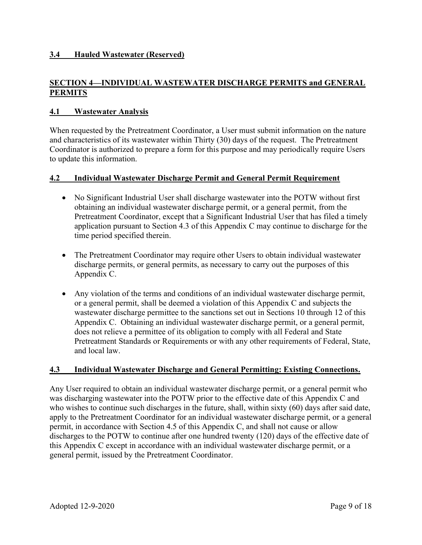# 3.4 Hauled Wastewater (Reserved)

# SECTION 4—INDIVIDUAL WASTEWATER DISCHARGE PERMITS and GENERAL PERMITS

#### 4.1 Wastewater Analysis

When requested by the Pretreatment Coordinator, a User must submit information on the nature and characteristics of its wastewater within Thirty (30) days of the request. The Pretreatment Coordinator is authorized to prepare a form for this purpose and may periodically require Users to update this information.

#### 4.2 Individual Wastewater Discharge Permit and General Permit Requirement

- No Significant Industrial User shall discharge wastewater into the POTW without first obtaining an individual wastewater discharge permit, or a general permit, from the Pretreatment Coordinator, except that a Significant Industrial User that has filed a timely application pursuant to Section 4.3 of this Appendix C may continue to discharge for the time period specified therein.
- The Pretreatment Coordinator may require other Users to obtain individual wastewater discharge permits, or general permits, as necessary to carry out the purposes of this Appendix C.
- Any violation of the terms and conditions of an individual wastewater discharge permit, or a general permit, shall be deemed a violation of this Appendix C and subjects the wastewater discharge permittee to the sanctions set out in Sections 10 through 12 of this Appendix C. Obtaining an individual wastewater discharge permit, or a general permit, does not relieve a permittee of its obligation to comply with all Federal and State Pretreatment Standards or Requirements or with any other requirements of Federal, State, and local law.

#### 4.3 Individual Wastewater Discharge and General Permitting: Existing Connections.

Any User required to obtain an individual wastewater discharge permit, or a general permit who was discharging wastewater into the POTW prior to the effective date of this Appendix C and who wishes to continue such discharges in the future, shall, within sixty (60) days after said date, apply to the Pretreatment Coordinator for an individual wastewater discharge permit, or a general permit, in accordance with Section 4.5 of this Appendix C, and shall not cause or allow discharges to the POTW to continue after one hundred twenty (120) days of the effective date of this Appendix C except in accordance with an individual wastewater discharge permit, or a general permit, issued by the Pretreatment Coordinator.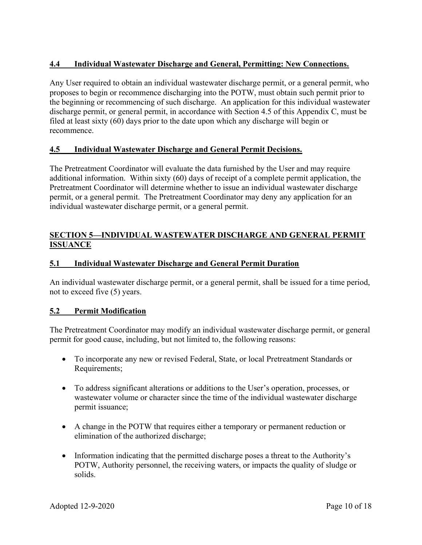# 4.4 Individual Wastewater Discharge and General, Permitting: New Connections.

Any User required to obtain an individual wastewater discharge permit, or a general permit, who proposes to begin or recommence discharging into the POTW, must obtain such permit prior to the beginning or recommencing of such discharge. An application for this individual wastewater discharge permit, or general permit, in accordance with Section 4.5 of this Appendix C, must be filed at least sixty (60) days prior to the date upon which any discharge will begin or recommence.

#### 4.5 Individual Wastewater Discharge and General Permit Decisions.

The Pretreatment Coordinator will evaluate the data furnished by the User and may require additional information. Within sixty (60) days of receipt of a complete permit application, the Pretreatment Coordinator will determine whether to issue an individual wastewater discharge permit, or a general permit. The Pretreatment Coordinator may deny any application for an individual wastewater discharge permit, or a general permit.

# SECTION 5—INDIVIDUAL WASTEWATER DISCHARGE AND GENERAL PERMIT **ISSUANCE**

#### 5.1 Individual Wastewater Discharge and General Permit Duration

An individual wastewater discharge permit, or a general permit, shall be issued for a time period, not to exceed five (5) years.

#### 5.2 Permit Modification

The Pretreatment Coordinator may modify an individual wastewater discharge permit, or general permit for good cause, including, but not limited to, the following reasons:

- To incorporate any new or revised Federal, State, or local Pretreatment Standards or Requirements;
- To address significant alterations or additions to the User's operation, processes, or wastewater volume or character since the time of the individual wastewater discharge permit issuance;
- A change in the POTW that requires either a temporary or permanent reduction or elimination of the authorized discharge;
- Information indicating that the permitted discharge poses a threat to the Authority's POTW, Authority personnel, the receiving waters, or impacts the quality of sludge or solids.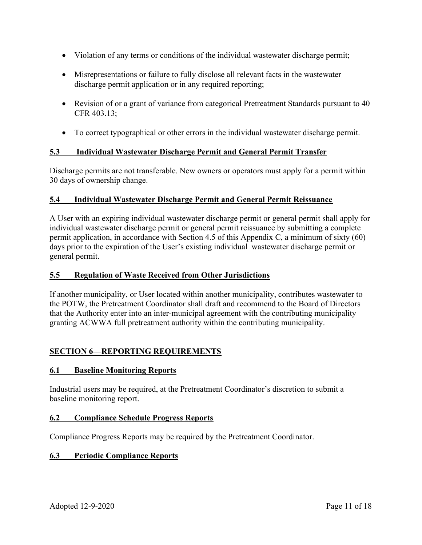- Violation of any terms or conditions of the individual wastewater discharge permit;
- Misrepresentations or failure to fully disclose all relevant facts in the wastewater discharge permit application or in any required reporting;
- Revision of or a grant of variance from categorical Pretreatment Standards pursuant to 40 CFR 403.13;
- To correct typographical or other errors in the individual wastewater discharge permit.

# 5.3 Individual Wastewater Discharge Permit and General Permit Transfer

Discharge permits are not transferable. New owners or operators must apply for a permit within 30 days of ownership change.

# 5.4 Individual Wastewater Discharge Permit and General Permit Reissuance

A User with an expiring individual wastewater discharge permit or general permit shall apply for individual wastewater discharge permit or general permit reissuance by submitting a complete permit application, in accordance with Section 4.5 of this Appendix C, a minimum of sixty (60) days prior to the expiration of the User's existing individual wastewater discharge permit or general permit.

#### 5.5 Regulation of Waste Received from Other Jurisdictions

If another municipality, or User located within another municipality, contributes wastewater to the POTW, the Pretreatment Coordinator shall draft and recommend to the Board of Directors that the Authority enter into an inter-municipal agreement with the contributing municipality granting ACWWA full pretreatment authority within the contributing municipality.

# SECTION 6—REPORTING REQUIREMENTS

#### 6.1 Baseline Monitoring Reports

Industrial users may be required, at the Pretreatment Coordinator's discretion to submit a baseline monitoring report.

#### 6.2 Compliance Schedule Progress Reports

Compliance Progress Reports may be required by the Pretreatment Coordinator.

#### 6.3 Periodic Compliance Reports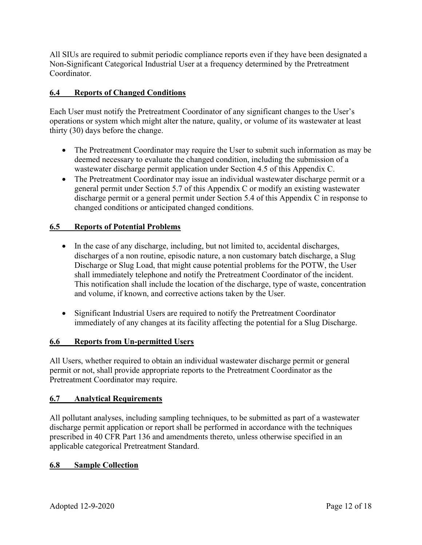All SIUs are required to submit periodic compliance reports even if they have been designated a Non-Significant Categorical Industrial User at a frequency determined by the Pretreatment Coordinator.

# 6.4 Reports of Changed Conditions

Each User must notify the Pretreatment Coordinator of any significant changes to the User's operations or system which might alter the nature, quality, or volume of its wastewater at least thirty (30) days before the change.

- The Pretreatment Coordinator may require the User to submit such information as may be deemed necessary to evaluate the changed condition, including the submission of a wastewater discharge permit application under Section 4.5 of this Appendix C.
- The Pretreatment Coordinator may issue an individual wastewater discharge permit or a general permit under Section 5.7 of this Appendix C or modify an existing wastewater discharge permit or a general permit under Section 5.4 of this Appendix C in response to changed conditions or anticipated changed conditions.

# 6.5 Reports of Potential Problems

- In the case of any discharge, including, but not limited to, accidental discharges, discharges of a non routine, episodic nature, a non customary batch discharge, a Slug Discharge or Slug Load, that might cause potential problems for the POTW, the User shall immediately telephone and notify the Pretreatment Coordinator of the incident. This notification shall include the location of the discharge, type of waste, concentration and volume, if known, and corrective actions taken by the User.
- Significant Industrial Users are required to notify the Pretreatment Coordinator immediately of any changes at its facility affecting the potential for a Slug Discharge.

# 6.6 Reports from Un-permitted Users

All Users, whether required to obtain an individual wastewater discharge permit or general permit or not, shall provide appropriate reports to the Pretreatment Coordinator as the Pretreatment Coordinator may require.

# 6.7 Analytical Requirements

All pollutant analyses, including sampling techniques, to be submitted as part of a wastewater discharge permit application or report shall be performed in accordance with the techniques prescribed in 40 CFR Part 136 and amendments thereto, unless otherwise specified in an applicable categorical Pretreatment Standard.

# 6.8 Sample Collection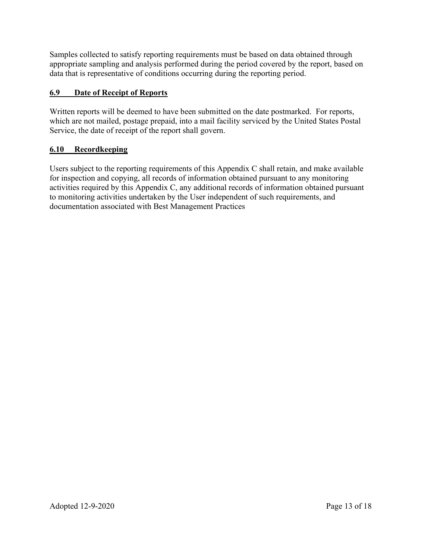Samples collected to satisfy reporting requirements must be based on data obtained through appropriate sampling and analysis performed during the period covered by the report, based on data that is representative of conditions occurring during the reporting period.

# 6.9 Date of Receipt of Reports

Written reports will be deemed to have been submitted on the date postmarked. For reports, which are not mailed, postage prepaid, into a mail facility serviced by the United States Postal Service, the date of receipt of the report shall govern.

# 6.10 Recordkeeping

Users subject to the reporting requirements of this Appendix C shall retain, and make available for inspection and copying, all records of information obtained pursuant to any monitoring activities required by this Appendix C, any additional records of information obtained pursuant to monitoring activities undertaken by the User independent of such requirements, and documentation associated with Best Management Practices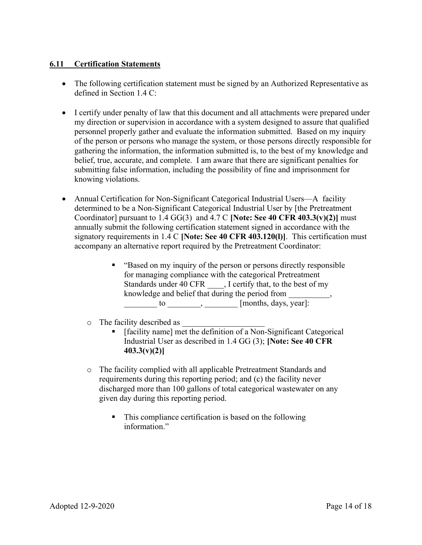# 6.11 Certification Statements

- The following certification statement must be signed by an Authorized Representative as defined in Section 1.4 C:
- I certify under penalty of law that this document and all attachments were prepared under my direction or supervision in accordance with a system designed to assure that qualified personnel properly gather and evaluate the information submitted. Based on my inquiry of the person or persons who manage the system, or those persons directly responsible for gathering the information, the information submitted is, to the best of my knowledge and belief, true, accurate, and complete. I am aware that there are significant penalties for submitting false information, including the possibility of fine and imprisonment for knowing violations.
- Annual Certification for Non-Significant Categorical Industrial Users—A facility determined to be a Non-Significant Categorical Industrial User by [the Pretreatment Coordinator] pursuant to  $1.4$  GG(3) and  $4.7$  C [Note: See 40 CFR 403.3(v)(2)] must annually submit the following certification statement signed in accordance with the signatory requirements in  $1.4 \text{ C}$  [Note: See 40 CFR 403.120(l)]. This certification must accompany an alternative report required by the Pretreatment Coordinator:
	- "Based on my inquiry of the person or persons directly responsible for managing compliance with the categorical Pretreatment Standards under 40 CFR . I certify that, to the best of my knowledge and belief that during the period from \_\_\_\_\_\_\_\_\_\_,  $\qquad \qquad \text{to} \qquad \qquad \text{[months, days, year]}:$
	- $\circ$  The facility described as
		- [facility name] met the definition of a Non-Significant Categorical Industrial User as described in 1.4 GG (3); [Note: See 40 CFR  $403.3(v)(2)$ ]
	- o The facility complied with all applicable Pretreatment Standards and requirements during this reporting period; and (c) the facility never discharged more than 100 gallons of total categorical wastewater on any given day during this reporting period.
		- This compliance certification is based on the following information."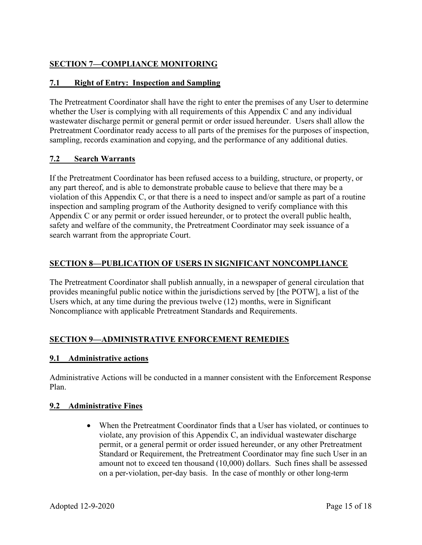# SECTION 7—COMPLIANCE MONITORING

# 7.1 Right of Entry: Inspection and Sampling

The Pretreatment Coordinator shall have the right to enter the premises of any User to determine whether the User is complying with all requirements of this Appendix C and any individual wastewater discharge permit or general permit or order issued hereunder. Users shall allow the Pretreatment Coordinator ready access to all parts of the premises for the purposes of inspection, sampling, records examination and copying, and the performance of any additional duties.

# 7.2 Search Warrants

If the Pretreatment Coordinator has been refused access to a building, structure, or property, or any part thereof, and is able to demonstrate probable cause to believe that there may be a violation of this Appendix C, or that there is a need to inspect and/or sample as part of a routine inspection and sampling program of the Authority designed to verify compliance with this Appendix C or any permit or order issued hereunder, or to protect the overall public health, safety and welfare of the community, the Pretreatment Coordinator may seek issuance of a search warrant from the appropriate Court.

# SECTION 8—PUBLICATION OF USERS IN SIGNIFICANT NONCOMPLIANCE

The Pretreatment Coordinator shall publish annually, in a newspaper of general circulation that provides meaningful public notice within the jurisdictions served by [the POTW], a list of the Users which, at any time during the previous twelve (12) months, were in Significant Noncompliance with applicable Pretreatment Standards and Requirements.

# SECTION 9—ADMINISTRATIVE ENFORCEMENT REMEDIES

# 9.1 Administrative actions

Administrative Actions will be conducted in a manner consistent with the Enforcement Response Plan.

# 9.2 Administrative Fines

 When the Pretreatment Coordinator finds that a User has violated, or continues to violate, any provision of this Appendix C, an individual wastewater discharge permit, or a general permit or order issued hereunder, or any other Pretreatment Standard or Requirement, the Pretreatment Coordinator may fine such User in an amount not to exceed ten thousand (10,000) dollars. Such fines shall be assessed on a per-violation, per-day basis. In the case of monthly or other long-term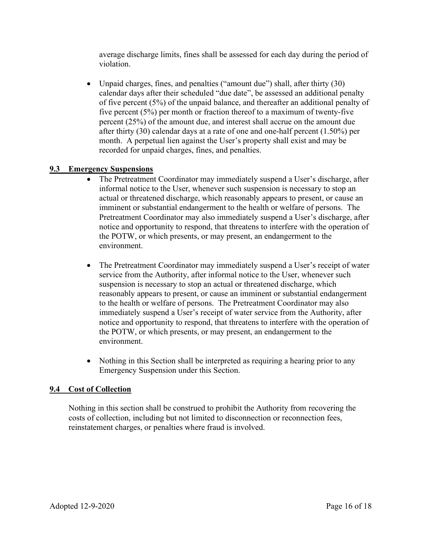average discharge limits, fines shall be assessed for each day during the period of violation.

 Unpaid charges, fines, and penalties ("amount due") shall, after thirty (30) calendar days after their scheduled "due date", be assessed an additional penalty of five percent (5%) of the unpaid balance, and thereafter an additional penalty of five percent (5%) per month or fraction thereof to a maximum of twenty-five percent (25%) of the amount due, and interest shall accrue on the amount due after thirty (30) calendar days at a rate of one and one-half percent (1.50%) per month. A perpetual lien against the User's property shall exist and may be recorded for unpaid charges, fines, and penalties.

#### 9.3 Emergency Suspensions

- The Pretreatment Coordinator may immediately suspend a User's discharge, after informal notice to the User, whenever such suspension is necessary to stop an actual or threatened discharge, which reasonably appears to present, or cause an imminent or substantial endangerment to the health or welfare of persons. The Pretreatment Coordinator may also immediately suspend a User's discharge, after notice and opportunity to respond, that threatens to interfere with the operation of the POTW, or which presents, or may present, an endangerment to the environment.
- The Pretreatment Coordinator may immediately suspend a User's receipt of water service from the Authority, after informal notice to the User, whenever such suspension is necessary to stop an actual or threatened discharge, which reasonably appears to present, or cause an imminent or substantial endangerment to the health or welfare of persons. The Pretreatment Coordinator may also immediately suspend a User's receipt of water service from the Authority, after notice and opportunity to respond, that threatens to interfere with the operation of the POTW, or which presents, or may present, an endangerment to the environment.
- Nothing in this Section shall be interpreted as requiring a hearing prior to any Emergency Suspension under this Section.

#### 9.4 Cost of Collection

Nothing in this section shall be construed to prohibit the Authority from recovering the costs of collection, including but not limited to disconnection or reconnection fees, reinstatement charges, or penalties where fraud is involved.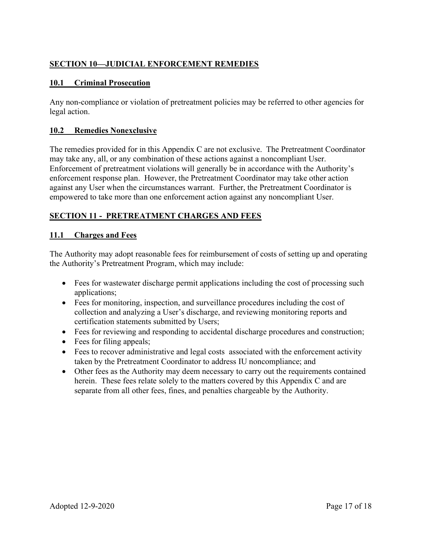# SECTION 10—JUDICIAL ENFORCEMENT REMEDIES

# 10.1 Criminal Prosecution

Any non-compliance or violation of pretreatment policies may be referred to other agencies for legal action.

# 10.2 Remedies Nonexclusive

The remedies provided for in this Appendix C are not exclusive. The Pretreatment Coordinator may take any, all, or any combination of these actions against a noncompliant User. Enforcement of pretreatment violations will generally be in accordance with the Authority's enforcement response plan. However, the Pretreatment Coordinator may take other action against any User when the circumstances warrant. Further, the Pretreatment Coordinator is empowered to take more than one enforcement action against any noncompliant User.

# SECTION 11 - PRETREATMENT CHARGES AND FEES

# 11.1 Charges and Fees

The Authority may adopt reasonable fees for reimbursement of costs of setting up and operating the Authority's Pretreatment Program, which may include:

- Fees for wastewater discharge permit applications including the cost of processing such applications;
- Fees for monitoring, inspection, and surveillance procedures including the cost of collection and analyzing a User's discharge, and reviewing monitoring reports and certification statements submitted by Users;
- Fees for reviewing and responding to accidental discharge procedures and construction;
- Fees for filing appeals;
- Fees to recover administrative and legal costs associated with the enforcement activity taken by the Pretreatment Coordinator to address IU noncompliance; and
- Other fees as the Authority may deem necessary to carry out the requirements contained herein. These fees relate solely to the matters covered by this Appendix C and are separate from all other fees, fines, and penalties chargeable by the Authority.